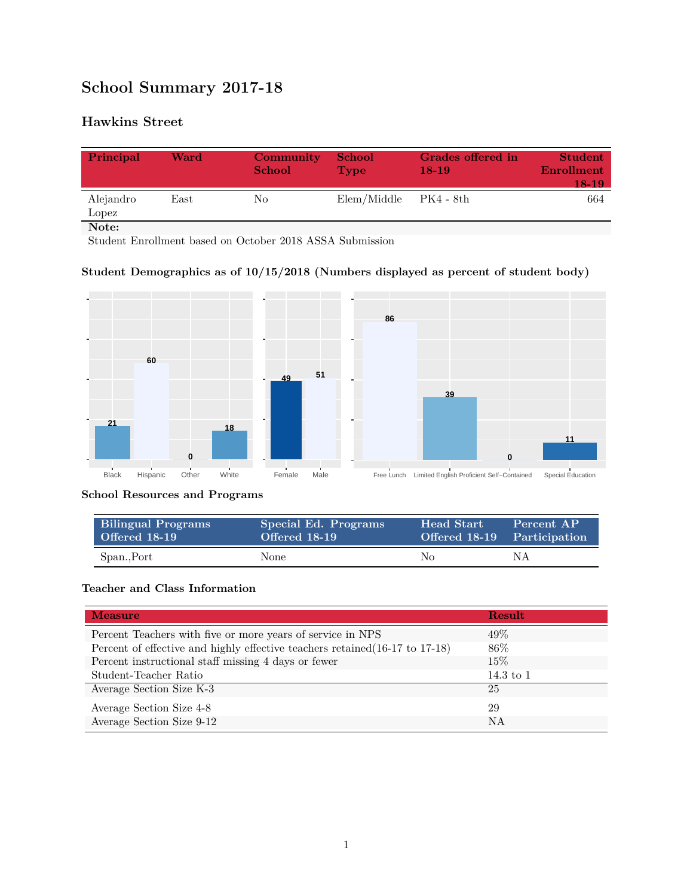# **School Summary 2017-18**

## **Hawkins Street**

| Principal          | Ward | <b>Community</b><br><b>School</b> | <b>School</b><br><b>Type</b> | Grades offered in<br>$18-19$ | <b>Student</b><br><b>Enrollment</b><br>$18-19$ |
|--------------------|------|-----------------------------------|------------------------------|------------------------------|------------------------------------------------|
| Alejandro<br>Lopez | East | No.                               | Elem/Middle                  | - PK4 - 8th                  | 664                                            |
| Note:              |      |                                   |                              |                              |                                                |

Student Enrollment based on October 2018 ASSA Submission

## **Student Demographics as of 10/15/2018 (Numbers displayed as percent of student body)**



**School Resources and Programs**

| <b>Bilingual Programs</b><br>Offered 18-19 | Special Ed. Programs<br>Offered 18-19 | <b>Head Start</b><br>Offered 18-19 Participation | Percent AP |
|--------------------------------------------|---------------------------------------|--------------------------------------------------|------------|
| Span., Port                                | None                                  | No.                                              | NΑ         |

### **Teacher and Class Information**

| <b>Measure</b>                                                               | Result        |
|------------------------------------------------------------------------------|---------------|
| Percent Teachers with five or more years of service in NPS                   | 49%           |
| Percent of effective and highly effective teachers retained (16-17 to 17-18) | 86\%          |
| Percent instructional staff missing 4 days or fewer                          | 15\%          |
| Student-Teacher Ratio                                                        | $14.3$ to $1$ |
| Average Section Size K-3                                                     | 25            |
| Average Section Size 4-8                                                     | 29            |
| Average Section Size 9-12                                                    | NA            |